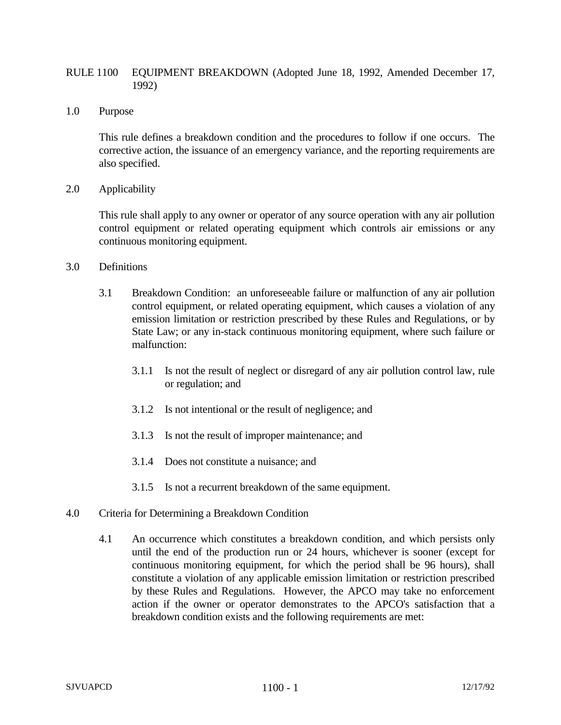# RULE 1100 EQUIPMENT BREAKDOWN (Adopted June 18, 1992, Amended December 17, 1992)

### 1.0 Purpose

This rule defines a breakdown condition and the procedures to follow if one occurs. The corrective action, the issuance of an emergency variance, and the reporting requirements are also specified.

### 2.0 Applicability

This rule shall apply to any owner or operator of any source operation with any air pollution control equipment or related operating equipment which controls air emissions or any continuous monitoring equipment.

### 3.0 Definitions

- 3.1 Breakdown Condition: an unforeseeable failure or malfunction of any air pollution control equipment, or related operating equipment, which causes a violation of any emission limitation or restriction prescribed by these Rules and Regulations, or by State Law; or any in-stack continuous monitoring equipment, where such failure or malfunction:
	- 3.1.1 Is not the result of neglect or disregard of any air pollution control law, rule or regulation; and
	- 3.1.2 Is not intentional or the result of negligence; and
	- 3.1.3 Is not the result of improper maintenance; and
	- 3.1.4 Does not constitute a nuisance; and
	- 3.1.5 Is not a recurrent breakdown of the same equipment.
- 4.0 Criteria for Determining a Breakdown Condition
	- 4.1 An occurrence which constitutes a breakdown condition, and which persists only until the end of the production run or 24 hours, whichever is sooner (except for continuous monitoring equipment, for which the period shall be 96 hours), shall constitute a violation of any applicable emission limitation or restriction prescribed by these Rules and Regulations. However, the APCO may take no enforcement action if the owner or operator demonstrates to the APCO's satisfaction that a breakdown condition exists and the following requirements are met: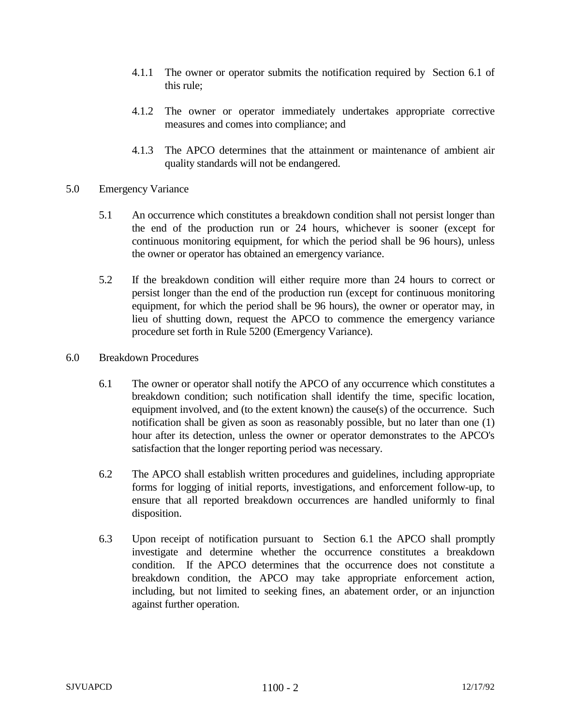- 4.1.1 The owner or operator submits the notification required by Section 6.1 of this rule;
- 4.1.2 The owner or operator immediately undertakes appropriate corrective measures and comes into compliance; and
- 4.1.3 The APCO determines that the attainment or maintenance of ambient air quality standards will not be endangered.
- 5.0 Emergency Variance
	- 5.1 An occurrence which constitutes a breakdown condition shall not persist longer than the end of the production run or 24 hours, whichever is sooner (except for continuous monitoring equipment, for which the period shall be 96 hours), unless the owner or operator has obtained an emergency variance.
	- 5.2 If the breakdown condition will either require more than 24 hours to correct or persist longer than the end of the production run (except for continuous monitoring equipment, for which the period shall be 96 hours), the owner or operator may, in lieu of shutting down, request the APCO to commence the emergency variance procedure set forth in Rule 5200 (Emergency Variance).
- 6.0 Breakdown Procedures
	- 6.1 The owner or operator shall notify the APCO of any occurrence which constitutes a breakdown condition; such notification shall identify the time, specific location, equipment involved, and (to the extent known) the cause(s) of the occurrence. Such notification shall be given as soon as reasonably possible, but no later than one (1) hour after its detection, unless the owner or operator demonstrates to the APCO's satisfaction that the longer reporting period was necessary.
	- 6.2 The APCO shall establish written procedures and guidelines, including appropriate forms for logging of initial reports, investigations, and enforcement follow-up, to ensure that all reported breakdown occurrences are handled uniformly to final disposition.
	- 6.3 Upon receipt of notification pursuant to Section 6.1 the APCO shall promptly investigate and determine whether the occurrence constitutes a breakdown condition. If the APCO determines that the occurrence does not constitute a breakdown condition, the APCO may take appropriate enforcement action, including, but not limited to seeking fines, an abatement order, or an injunction against further operation.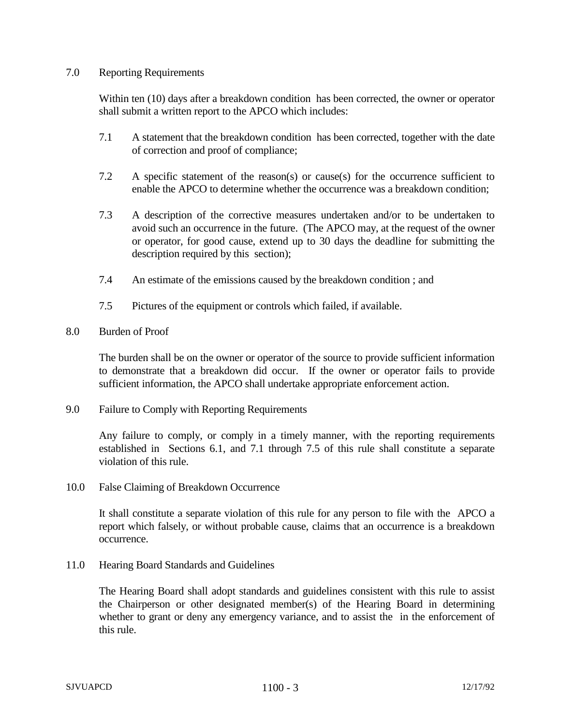## 7.0 Reporting Requirements

Within ten (10) days after a breakdown condition has been corrected, the owner or operator shall submit a written report to the APCO which includes:

- 7.1 A statement that the breakdown condition has been corrected, together with the date of correction and proof of compliance;
- 7.2 A specific statement of the reason(s) or cause(s) for the occurrence sufficient to enable the APCO to determine whether the occurrence was a breakdown condition;
- 7.3 A description of the corrective measures undertaken and/or to be undertaken to avoid such an occurrence in the future. (The APCO may, at the request of the owner or operator, for good cause, extend up to 30 days the deadline for submitting the description required by this section);
- 7.4 An estimate of the emissions caused by the breakdown condition ; and
- 7.5 Pictures of the equipment or controls which failed, if available.

# 8.0 Burden of Proof

The burden shall be on the owner or operator of the source to provide sufficient information to demonstrate that a breakdown did occur. If the owner or operator fails to provide sufficient information, the APCO shall undertake appropriate enforcement action.

9.0 Failure to Comply with Reporting Requirements

Any failure to comply, or comply in a timely manner, with the reporting requirements established in Sections 6.1, and 7.1 through 7.5 of this rule shall constitute a separate violation of this rule.

10.0 False Claiming of Breakdown Occurrence

It shall constitute a separate violation of this rule for any person to file with the APCO a report which falsely, or without probable cause, claims that an occurrence is a breakdown occurrence.

11.0 Hearing Board Standards and Guidelines

The Hearing Board shall adopt standards and guidelines consistent with this rule to assist the Chairperson or other designated member(s) of the Hearing Board in determining whether to grant or deny any emergency variance, and to assist the in the enforcement of this rule.